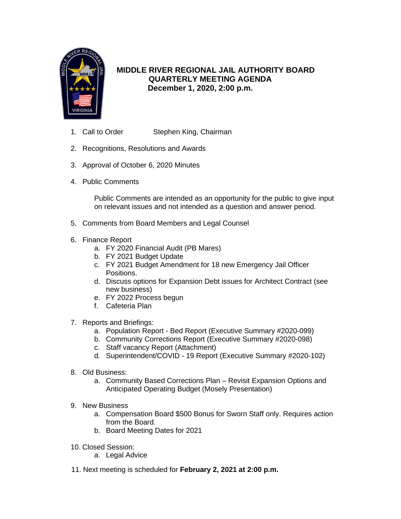

### **MIDDLE RIVER REGIONAL JAIL AUTHORITY BOARD QUARTERLY MEETING AGENDA December 1, 2020, 2:00 p.m.**

- 1. Call to Order Stephen King, Chairman
- 2. Recognitions, Resolutions and Awards
- 3. Approval of October 6, 2020 Minutes
- 4. Public Comments

Public Comments are intended as an opportunity for the public to give input on relevant issues and not intended as a question and answer period.

- 5. Comments from Board Members and Legal Counsel
- 6. Finance Report
	- a. FY 2020 Financial Audit (PB Mares)
	- b. FY 2021 Budget Update
	- c. FY 2021 Budget Amendment for 18 new Emergency Jail Officer Positions.
	- d. Discuss options for Expansion Debt issues for Architect Contract (see new business)
	- e. FY 2022 Process begun
	- f. Cafeteria Plan
- 7. Reports and Briefings:
	- a. Population Report Bed Report (Executive Summary #2020-099)
	- b. Community Corrections Report (Executive Summary #2020-098)
	- c. Staff vacancy Report (Attachment)
	- d. Superintendent/COVID 19 Report (Executive Summary #2020-102)
- 8. Old Business:
	- a. Community Based Corrections Plan Revisit Expansion Options and Anticipated Operating Budget (Mosely Presentation)
- 9. New Business
	- a. Compensation Board \$500 Bonus for Sworn Staff only. Requires action from the Board.
	- b. Board Meeting Dates for 2021
- 10. Closed Session:
	- a. Legal Advice
- 11. Next meeting is scheduled for **February 2, 2021 at 2:00 p.m.**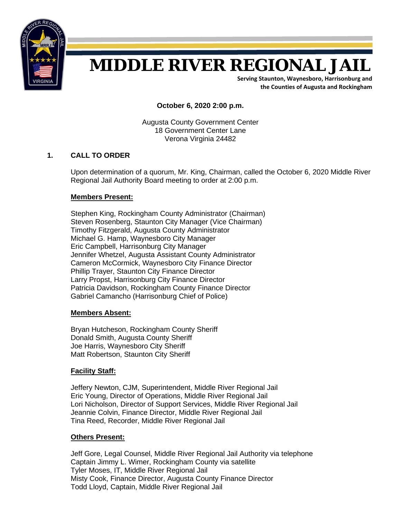

# **MIDDLE RIVER REGIONAL JAIL**

**Serving Staunton, Waynesboro, Harrisonburg and the Counties of Augusta and Rockingham**

**October 6, 2020 2:00 p.m.**

Augusta County Government Center 18 Government Center Lane Verona Virginia 24482

### **1. CALL TO ORDER**

Upon determination of a quorum, Mr. King, Chairman, called the October 6, 2020 Middle River Regional Jail Authority Board meeting to order at 2:00 p.m.

#### **Members Present:**

Stephen King, Rockingham County Administrator (Chairman) Steven Rosenberg, Staunton City Manager (Vice Chairman) Timothy Fitzgerald, Augusta County Administrator Michael G. Hamp, Waynesboro City Manager Eric Campbell, Harrisonburg City Manager Jennifer Whetzel, Augusta Assistant County Administrator Cameron McCormick, Waynesboro City Finance Director Phillip Trayer, Staunton City Finance Director Larry Propst, Harrisonburg City Finance Director Patricia Davidson, Rockingham County Finance Director Gabriel Camancho (Harrisonburg Chief of Police)

#### **Members Absent:**

Bryan Hutcheson, Rockingham County Sheriff Donald Smith, Augusta County Sheriff Joe Harris, Waynesboro City Sheriff Matt Robertson, Staunton City Sheriff

### **Facility Staff:**

 Jeffery Newton, CJM, Superintendent, Middle River Regional Jail Eric Young, Director of Operations, Middle River Regional Jail Lori Nicholson, Director of Support Services, Middle River Regional Jail Jeannie Colvin, Finance Director, Middle River Regional Jail Tina Reed, Recorder, Middle River Regional Jail

#### **Others Present:**

 Jeff Gore, Legal Counsel, Middle River Regional Jail Authority via telephone Captain Jimmy L. Wimer, Rockingham County via satellite Tyler Moses, IT, Middle River Regional Jail Misty Cook, Finance Director, Augusta County Finance Director Todd Lloyd, Captain, Middle River Regional Jail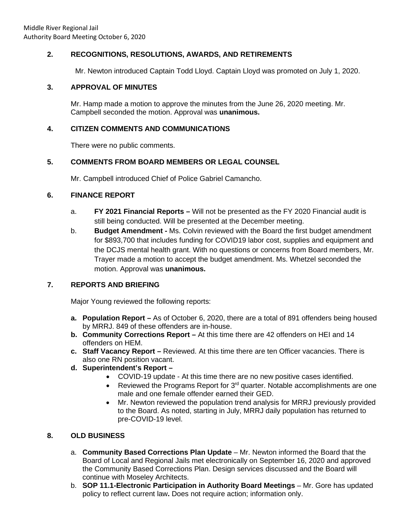### **2. RECOGNITIONS, RESOLUTIONS, AWARDS, AND RETIREMENTS**

Mr. Newton introduced Captain Todd Lloyd. Captain Lloyd was promoted on July 1, 2020.

### **3. APPROVAL OF MINUTES**

Mr. Hamp made a motion to approve the minutes from the June 26, 2020 meeting. Mr. Campbell seconded the motion. Approval was **unanimous.**

### **4. CITIZEN COMMENTS AND COMMUNICATIONS**

There were no public comments.

### **5. COMMENTS FROM BOARD MEMBERS OR LEGAL COUNSEL**

Mr. Campbell introduced Chief of Police Gabriel Camancho.

### **6. FINANCE REPORT**

- a. **FY 2021 Financial Reports** Will not be presented as the FY 2020 Financial audit is still being conducted. Will be presented at the December meeting.
- b. **Budget Amendment** Ms. Colvin reviewed with the Board the first budget amendment for \$893,700 that includes funding for COVID19 labor cost, supplies and equipment and the DCJS mental health grant. With no questions or concerns from Board members, Mr. Trayer made a motion to accept the budget amendment. Ms. Whetzel seconded the motion. Approval was **unanimous.**

### **7. REPORTS AND BRIEFING**

Major Young reviewed the following reports:

- **a. Population Report** As of October 6, 2020, there are a total of 891 offenders being housed by MRRJ. 849 of these offenders are in-house.
- **b. Community Corrections Report –** At this time there are 42 offenders on HEI and 14 offenders on HEM.
- **c. Staff Vacancy Report** Reviewed. At this time there are ten Officer vacancies. There is also one RN position vacant.
- **d. Superintendent's Report** 
	- COVID-19 update At this time there are no new positive cases identified.
	- Reviewed the Programs Report for  $3<sup>rd</sup>$  quarter. Notable accomplishments are one male and one female offender earned their GED.
	- Mr. Newton reviewed the population trend analysis for MRRJ previously provided to the Board. As noted, starting in July, MRRJ daily population has returned to pre-COVID-19 level.

### **8. OLD BUSINESS**

- a. **Community Based Corrections Plan Update** Mr. Newton informed the Board that the Board of Local and Regional Jails met electronically on September 16, 2020 and approved the Community Based Corrections Plan. Design services discussed and the Board will continue with Moseley Architects.
- b. **SOP 11.1-Electronic Participation in Authority Board Meetings** Mr. Gore has updated policy to reflect current law**.** Does not require action; information only.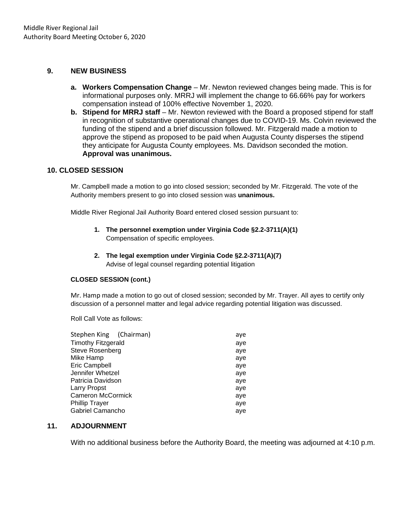### **9. NEW BUSINESS**

- **a. Workers Compensation Change** Mr. Newton reviewed changes being made. This is for informational purposes only. MRRJ will implement the change to 66.66% pay for workers compensation instead of 100% effective November 1, 2020.
- **b. Stipend for MRRJ staff**  Mr. Newton reviewed with the Board a proposed stipend for staff in recognition of substantive operational changes due to COVID-19. Ms. Colvin reviewed the funding of the stipend and a brief discussion followed. Mr. Fitzgerald made a motion to approve the stipend as proposed to be paid when Augusta County disperses the stipend they anticipate for Augusta County employees. Ms. Davidson seconded the motion. **Approval was unanimous.**

#### **10. CLOSED SESSION**

Mr. Campbell made a motion to go into closed session; seconded by Mr. Fitzgerald. The vote of the Authority members present to go into closed session was **unanimous.**

Middle River Regional Jail Authority Board entered closed session pursuant to:

- **1. The personnel exemption under Virginia Code §2.2-3711(A)(1)**  Compensation of specific employees.
- **2. The legal exemption under Virginia Code §2.2-3711(A)(7)**  Advise of legal counsel regarding potential litigation

#### **CLOSED SESSION (cont.)**

Mr. Hamp made a motion to go out of closed session; seconded by Mr. Trayer. All ayes to certify only discussion of a personnel matter and legal advice regarding potential litigation was discussed.

Roll Call Vote as follows:

| Stephen King (Chairman)   | aye |
|---------------------------|-----|
| <b>Timothy Fitzgerald</b> | aye |
| <b>Steve Rosenberg</b>    | aye |
| Mike Hamp                 | aye |
| <b>Eric Campbell</b>      | aye |
| Jennifer Whetzel          | aye |
| Patricia Davidson         | aye |
| Larry Propst              | aye |
| <b>Cameron McCormick</b>  | aye |
| <b>Phillip Trayer</b>     | aye |
| Gabriel Camancho          | aye |

#### **11. ADJOURNMENT**

With no additional business before the Authority Board, the meeting was adjourned at 4:10 p.m.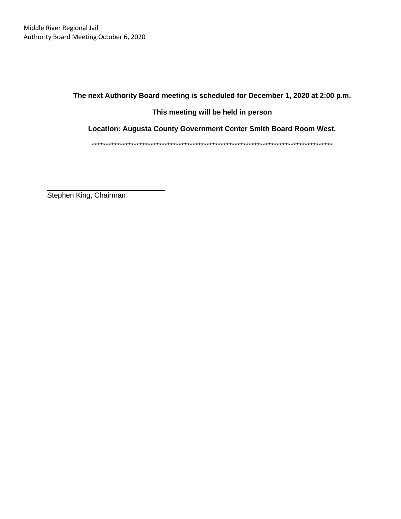**The next Authority Board meeting is scheduled for December 1, 2020 at 2:00 p.m.**

**This meeting will be held in person**

**Location: Augusta County Government Center Smith Board Room West.**

\*\*\*\*\*\*\*\*\*\*\*\*\*\*\*\*\*\*\*\*\*\*\*\*\*\*\*\*\*\*\*\*\*\*\*\*\*\*\*\*\*\*\*\*\*\*\*\*\*\*\*\*\*\*\*\*\*\*\*\*\*\*\*\*\*\*\*\*\*\*\*\*\*\*\*\*\*\*\*\*\*\*\*\*\*\*

 $\overline{a}$ Stephen King, Chairman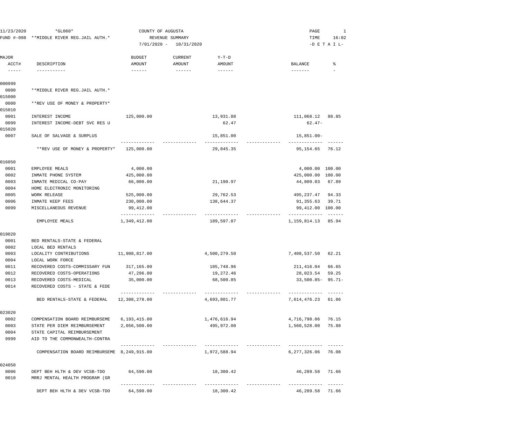| 11/23/2020                         | $*GLO60*$                                   | COUNTY OF AUGUSTA |                 |                  | PAGE                  | 1               |
|------------------------------------|---------------------------------------------|-------------------|-----------------|------------------|-----------------------|-----------------|
|                                    | FUND #-098 **MIDDLE RIVER REG.JAIL AUTH.*   |                   | REVENUE SUMMARY |                  | TIME                  | 16:02           |
|                                    |                                             | $7/01/2020 -$     | 10/31/2020      |                  |                       | $-D$ E T A I L- |
| MAJOR                              |                                             | <b>BUDGET</b>     | <b>CURRENT</b>  | $Y-T-D$          |                       |                 |
| ACCT#<br>$\qquad \qquad - - - - -$ | DESCRIPTION                                 | AMOUNT            | AMOUNT          | AMOUNT<br>------ | BALANCE<br>-------    | ႜ               |
| 000999                             |                                             |                   |                 |                  |                       |                 |
| 0000<br>015000                     | **MIDDLE RIVER REG.JAIL AUTH.*              |                   |                 |                  |                       |                 |
| 0000<br>015010                     | **REV USE OF MONEY & PROPERTY*              |                   |                 |                  |                       |                 |
| 0001                               | INTEREST INCOME                             | 125,000.00        |                 | 13,931.88        | 111,068.12            | 88.85           |
| 0099                               | INTEREST INCOME-DEBT SVC RES U              |                   |                 | 62.47            | $62.47-$              |                 |
| 015020                             |                                             |                   |                 |                  |                       |                 |
| 0007                               | SALE OF SALVAGE & SURPLUS                   |                   |                 | 15,851.00        | $15,851.00 -$         |                 |
|                                    | **REV USE OF MONEY & PROPERTY*              | 125,000.00        |                 | 29,845.35        | 95,154.65             | 76.12           |
| 016050                             |                                             |                   |                 |                  |                       |                 |
| 0001                               | EMPLOYEE MEALS                              | 4,000.00          |                 |                  | 4,000.00 100.00       |                 |
| 0002                               | INMATE PHONE SYSTEM                         | 425,000.00        |                 |                  | 425,000.00 100.00     |                 |
| 0003                               | INMATE MEDICAL CO-PAY                       | 66,000.00         |                 | 21,190.97        | 44,809.03             | 67.89           |
| 0004                               | HOME ELECTRONIC MONITORING                  |                   |                 |                  |                       |                 |
| 0005                               | <b>WORK RELEASE</b>                         | 525,000.00        |                 | 29,762.53        | 495,237.47            | 94.33           |
| 0006                               | INMATE KEEP FEES                            | 230,000.00        |                 | 138,644.37       | 91,355.63             | 39.71           |
| 0099                               | MISCELLANEOUS REVENUE                       | 99,412.00         |                 |                  | 99,412.00 100.00      |                 |
|                                    | EMPLOYEE MEALS                              | 1,349,412.00      |                 | 189,597.87       | 1,159,814.13          | 85.94           |
| 019020                             |                                             |                   |                 |                  |                       |                 |
| 0001                               | BED RENTALS-STATE & FEDERAL                 |                   |                 |                  |                       |                 |
| 0002                               | LOCAL BED RENTALS                           |                   |                 |                  |                       |                 |
| 0003                               | LOCALITY CONTRIBUTIONS                      | 11,908,817.00     |                 | 4,500,279.50     | 7,408,537.50          | 62.21           |
| 0004                               | LOCAL WORK FORCE                            |                   |                 |                  |                       |                 |
| 0011                               | RECOVERED COSTS-COMMISSARY FUN              | 317,165.00        |                 | 105,748.96       | 211,416.04            | 66.65           |
| 0012                               | RECOVERED COSTS-OPERATIONS                  | 47,296.00         |                 | 19,272.46        | 28,023.54             | 59.25           |
| 0013                               | RECOVERED COSTS-MEDICAL                     | 35,000.00         |                 | 68,500.85        | $33,500.85 - 95.71 -$ |                 |
| 0014                               | RECOVERED COSTS - STATE & FEDE              | ------------      |                 | ____________     | -------------         |                 |
|                                    | BED RENTALS-STATE & FEDERAL                 | 12,308,278.00     |                 | 4,693,801.77     | 7,614,476.23          | 61.86           |
| 023020                             |                                             |                   |                 |                  |                       |                 |
| 0002                               | COMPENSATION BOARD REIMBURSEME              | 6,193,415.00      |                 | 1,476,616.94     | 4,716,798.06          | 76.15           |
| 0003                               | STATE PER DIEM REIMBURSEMENT                | 2,056,500.00      |                 | 495,972.00       | 1,560,528.00          | 75.88           |
| 0004                               | STATE CAPITAL REIMBURSEMENT                 |                   |                 |                  |                       |                 |
| 9999                               | AID TO THE COMMONWEALTH-CONTRA              |                   |                 |                  |                       |                 |
|                                    | COMPENSATION BOARD REIMBURSEME 8,249,915.00 |                   |                 | 1,972,588.94     | 6,277,326.06          | 76.08           |
| 024050                             |                                             |                   |                 |                  |                       |                 |
| 0006                               | DEPT BEH HLTH & DEV VCSB-TDO                | 64,590.00         |                 | 18,300.42        | 46,289.58 71.66       |                 |
| 0010                               | MRRJ MENTAL HEALTH PROGRAM (GR              | ----------        |                 |                  |                       |                 |
|                                    | DEPT BEH HLTH & DEV VCSB-TDO                | 64,590.00         |                 | 18,300.42        | 46,289.58             | 71.66           |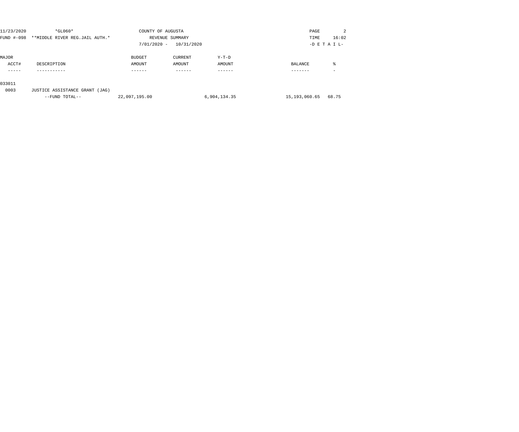| **MIDDLE RIVER REG.JAIL AUTH.*<br>FUND #-098<br>REVENUE SUMMARY<br>TIME<br>$7/01/2020 -$<br>10/31/2020<br>$-D$ E T A I L- | 2     |
|---------------------------------------------------------------------------------------------------------------------------|-------|
|                                                                                                                           | 16:02 |
|                                                                                                                           |       |
| MAJOR<br>BUDGET<br>CURRENT<br>$Y-T-D$                                                                                     |       |
| ACCT#<br>AMOUNT<br>AMOUNT<br>AMOUNT<br>DESCRIPTION<br>BALANCE                                                             | °     |
|                                                                                                                           |       |
|                                                                                                                           |       |

#### 033011

0003 JUSTICE ASSISTANCE GRANT (JAG)

| 22,097,195.00<br>--FUND TOTAL-- | 6,904,134.35 |
|---------------------------------|--------------|
|---------------------------------|--------------|

15,193,060.65 68.75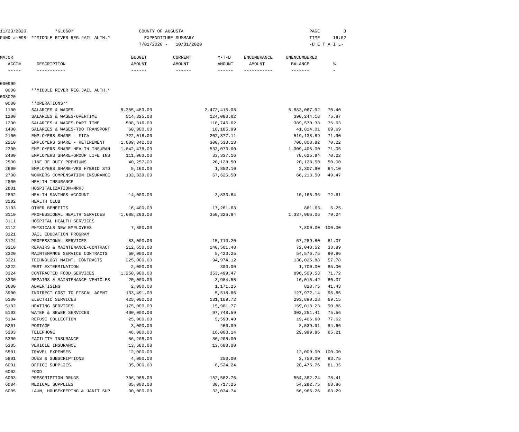| 11/23/2020                                                                                                                                                                                                                                                                                                                                                                                                                                                                           | $*GLO60*$                                 | COUNTY OF AUGUSTA |                                    |                    | PAGE             | 3               |
|--------------------------------------------------------------------------------------------------------------------------------------------------------------------------------------------------------------------------------------------------------------------------------------------------------------------------------------------------------------------------------------------------------------------------------------------------------------------------------------|-------------------------------------------|-------------------|------------------------------------|--------------------|------------------|-----------------|
|                                                                                                                                                                                                                                                                                                                                                                                                                                                                                      | FUND #-098 **MIDDLE RIVER REG.JAIL AUTH.* |                   | EXPENDITURE SUMMARY                |                    | TIME             | 16:02           |
|                                                                                                                                                                                                                                                                                                                                                                                                                                                                                      |                                           |                   | $7/01/2020 - 10/31/2020$           |                    |                  | $-D$ E T A I L- |
| MAJOR                                                                                                                                                                                                                                                                                                                                                                                                                                                                                |                                           | <b>BUDGET</b>     | $Y-T-D$<br>CURRENT                 | <b>ENCUMBRANCE</b> | UNENCUMBERED     |                 |
| ACCT#                                                                                                                                                                                                                                                                                                                                                                                                                                                                                | DESCRIPTION                               | AMOUNT            | AMOUNT<br>AMOUNT                   | AMOUNT             | BALANCE          | ៖               |
| $\begin{tabular}{cccccc} \multicolumn{2}{c}{} & \multicolumn{2}{c}{} & \multicolumn{2}{c}{} & \multicolumn{2}{c}{} & \multicolumn{2}{c}{} & \multicolumn{2}{c}{} & \multicolumn{2}{c}{} & \multicolumn{2}{c}{} & \multicolumn{2}{c}{} & \multicolumn{2}{c}{} & \multicolumn{2}{c}{} & \multicolumn{2}{c}{} & \multicolumn{2}{c}{} & \multicolumn{2}{c}{} & \multicolumn{2}{c}{} & \multicolumn{2}{c}{} & \multicolumn{2}{c}{} & \multicolumn{2}{c}{} & \multicolumn{2}{c}{} & \mult$ | -----------                               | $- - - - - - -$   | $- - - - - - -$<br>$- - - - - - -$ |                    | -------          |                 |
| 000999                                                                                                                                                                                                                                                                                                                                                                                                                                                                               |                                           |                   |                                    |                    |                  |                 |
| 0000                                                                                                                                                                                                                                                                                                                                                                                                                                                                                 | **MIDDLE RIVER REG.JAIL AUTH.*            |                   |                                    |                    |                  |                 |
| 033020                                                                                                                                                                                                                                                                                                                                                                                                                                                                               |                                           |                   |                                    |                    |                  |                 |
| 0000                                                                                                                                                                                                                                                                                                                                                                                                                                                                                 | **OPERATIONS**                            |                   |                                    |                    |                  |                 |
| 1100                                                                                                                                                                                                                                                                                                                                                                                                                                                                                 | SALARIES & WAGES                          | 8, 355, 483.00    | 2, 472, 415.08                     |                    | 5,883,067.92     | 70.40           |
| 1200                                                                                                                                                                                                                                                                                                                                                                                                                                                                                 | SALARIES & WAGES-OVERTIME                 | 514,325.00        | 124,080.82                         |                    | 390,244.18       | 75.87           |
| 1300                                                                                                                                                                                                                                                                                                                                                                                                                                                                                 | SALARIES & WAGES-PART TIME                | 508,316.00        | 118,745.62                         |                    | 389,570.38       | 76.63           |
| 1400                                                                                                                                                                                                                                                                                                                                                                                                                                                                                 | SALARIES & WAGES-TDO TRANSPORT            | 60,000.00         | 18,185.99                          |                    | 41,814.01        | 69.69           |
| 2100                                                                                                                                                                                                                                                                                                                                                                                                                                                                                 | EMPLOYERS SHARE - FICA                    | 722,016.00        | 202,877.11                         |                    | 519,138.89       | 71.90           |
| 2210                                                                                                                                                                                                                                                                                                                                                                                                                                                                                 | EMPLOYERS SHARE - RETIREMENT              | 1,009,342.00      | 300,533.18                         |                    | 708,808.82       | 70.22           |
| 2300                                                                                                                                                                                                                                                                                                                                                                                                                                                                                 | EMPLOYERS SHARE-HEALTH INSURAN            | 1,842,478.00      | 533,073.00                         |                    | 1,309,405.00     | 71.06           |
| 2400                                                                                                                                                                                                                                                                                                                                                                                                                                                                                 | EMPLOYERS SHARE-GROUP LIFE INS            | 111,963.00        | 33,337.16                          |                    | 78,625.84        | 70.22           |
| 2500                                                                                                                                                                                                                                                                                                                                                                                                                                                                                 | LINE OF DUTY PREMIUMS                     | 40,257.00         | 20,128.50                          |                    | 20,128.50        | 50.00           |
| 2600                                                                                                                                                                                                                                                                                                                                                                                                                                                                                 | EMPLOYERS SHARE-VRS HYBRID STD            | 5,160.00          | 1,852.10                           |                    | 3,307.90         | 64.10           |
| 2700                                                                                                                                                                                                                                                                                                                                                                                                                                                                                 | WORKERS COMPENSATION INSURANCE            | 133,839.00        | 67,625.50                          |                    | 66,213.50        | 49.47           |
| 2800                                                                                                                                                                                                                                                                                                                                                                                                                                                                                 | HEALTH INSURANCE                          |                   |                                    |                    |                  |                 |
| 2801                                                                                                                                                                                                                                                                                                                                                                                                                                                                                 | HOSPITALIZATION-MRRJ                      |                   |                                    |                    |                  |                 |
| 2802                                                                                                                                                                                                                                                                                                                                                                                                                                                                                 | HEALTH SAVINGS ACCOUNT                    | 14,000.00         | 3,833.64                           |                    | 10,166.36        | 72.61           |
| 3102                                                                                                                                                                                                                                                                                                                                                                                                                                                                                 | HEALTH CLUB                               |                   |                                    |                    |                  |                 |
| 3103                                                                                                                                                                                                                                                                                                                                                                                                                                                                                 | OTHER BENEFITS                            | 16,400.00         | 17,261.63                          |                    | $861.63 -$       | $5.25-$         |
| 3110                                                                                                                                                                                                                                                                                                                                                                                                                                                                                 | PROFESSIONAL HEALTH SERVICES              | 1,688,293.00      | 350, 326.94                        |                    | 1,337,966.06     | 79.24           |
| 3111                                                                                                                                                                                                                                                                                                                                                                                                                                                                                 | HOSPITAL HEALTH SERVICES                  |                   |                                    |                    |                  |                 |
| 3112                                                                                                                                                                                                                                                                                                                                                                                                                                                                                 | PHYSICALS NEW EMPLOYEES                   | 7,800.00          |                                    |                    | 7,800.00 100.00  |                 |
| 3121                                                                                                                                                                                                                                                                                                                                                                                                                                                                                 | JAIL EDUCATION PROGRAM                    |                   |                                    |                    |                  |                 |
| 3124                                                                                                                                                                                                                                                                                                                                                                                                                                                                                 | PROFESSIONAL SERVICES                     | 83,000.00         | 15,710.20                          |                    | 67,289.80        | 81.07           |
| 3310                                                                                                                                                                                                                                                                                                                                                                                                                                                                                 | REPAIRS & MAINTENANCE-CONTRACT            | 212,550.00        | 140,501.48                         |                    | 72,048.52        | 33.89           |
| 3320                                                                                                                                                                                                                                                                                                                                                                                                                                                                                 | MAINTENANCE SERVICE CONTRACTS             | 60,000.00         | 5,423.25                           |                    | 54, 576. 75      | 90.96           |
| 3321                                                                                                                                                                                                                                                                                                                                                                                                                                                                                 | TECHNOLOGY MAINT. CONTRACTS               | 225,000.00        | 94,974.12                          |                    | 130,025.88       | 57.78           |
| 3322                                                                                                                                                                                                                                                                                                                                                                                                                                                                                 | PEST EXTERMINATION                        | 2,000.00          | 300.00                             |                    | 1,700.00         | 85.00           |
| 3324                                                                                                                                                                                                                                                                                                                                                                                                                                                                                 | CONTRACTED FOOD SERVICES                  | 1,250,000.00      | 353, 499.47                        |                    | 896,500.53       | 71.72           |
| 3330                                                                                                                                                                                                                                                                                                                                                                                                                                                                                 | REPAIRS & MAINTENANCE-VEHICLES            | 20,000.00         | 3,984.58                           |                    | 16,015.42        | 80.07           |
| 3600                                                                                                                                                                                                                                                                                                                                                                                                                                                                                 | ADVERTISING                               | 2,000.00          | 1,171.25                           |                    | 828.75           | 41.43           |
| 3900                                                                                                                                                                                                                                                                                                                                                                                                                                                                                 | INDIRECT COST TO FISCAL AGENT             | 133,491.00        | 5,518.86                           |                    | 127,972.14       | 95.86           |
| 5100                                                                                                                                                                                                                                                                                                                                                                                                                                                                                 | ELECTRIC SERVICES                         | 425,000.00        | 131,109.72                         |                    | 293,890.28       | 69.15           |
| 5102                                                                                                                                                                                                                                                                                                                                                                                                                                                                                 | HEATING SERVICES                          | 175,000.00        | 15,981.77                          |                    | 159,018.23       | 90.86           |
| 5103                                                                                                                                                                                                                                                                                                                                                                                                                                                                                 | WATER & SEWER SERVICES                    | 400,000.00        | 97,748.59                          |                    | 302,251.41       | 75.56           |
| 5104                                                                                                                                                                                                                                                                                                                                                                                                                                                                                 | REFUSE COLLECTION                         | 25,000.00         | 5,593.40                           |                    | 19,406.60        | 77.62           |
| 5201                                                                                                                                                                                                                                                                                                                                                                                                                                                                                 | POSTAGE                                   | 3,000.00          | 460.09                             |                    | 2,539.91         | 84.66           |
| 5203                                                                                                                                                                                                                                                                                                                                                                                                                                                                                 | TELEPHONE                                 | 46,000.00         | 16,000.14                          |                    | 29,999.86        | 65.21           |
| 5300                                                                                                                                                                                                                                                                                                                                                                                                                                                                                 | FACILITY INSURANCE                        | 86,208.00         | 86,208.00                          |                    |                  |                 |
| 5305                                                                                                                                                                                                                                                                                                                                                                                                                                                                                 | VEHICLE INSURANCE                         | 13,680.00         | 13,680.00                          |                    |                  |                 |
| 5501                                                                                                                                                                                                                                                                                                                                                                                                                                                                                 | TRAVEL EXPENSES                           | 12,000.00         |                                    |                    | 12,000.00 100.00 |                 |
| 5801                                                                                                                                                                                                                                                                                                                                                                                                                                                                                 | DUES & SUBSCRIPTIONS                      | 4,000.00          | 250.00                             |                    | 3,750.00         | 93.75           |
| 6001                                                                                                                                                                                                                                                                                                                                                                                                                                                                                 | OFFICE SUPPLIES                           | 35,000.00         | 6,524.24                           |                    | 28,475.76        | 81.35           |
| 6002                                                                                                                                                                                                                                                                                                                                                                                                                                                                                 | FOOD                                      |                   |                                    |                    |                  |                 |
| 6003                                                                                                                                                                                                                                                                                                                                                                                                                                                                                 | PRESCRIPTION DRUGS                        | 706,965.00        | 152,582.76                         |                    | 554,382.24       | 78.41           |
| 6004                                                                                                                                                                                                                                                                                                                                                                                                                                                                                 | MEDICAL SUPPLIES                          | 85,000.00         | 30,717.25                          |                    | 54, 282. 75      | 63.86           |
| 6005                                                                                                                                                                                                                                                                                                                                                                                                                                                                                 | LAUN, HOUSEKEEPING & JANIT SUP            | 90,000.00         | 33,034.74                          |                    | 56,965.26        | 63.29           |
|                                                                                                                                                                                                                                                                                                                                                                                                                                                                                      |                                           |                   |                                    |                    |                  |                 |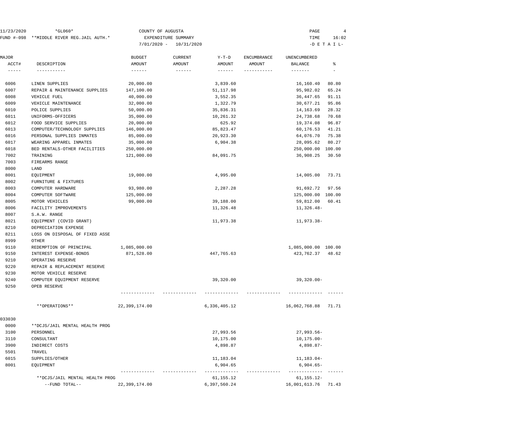| 11/23/2020    | $*GLO60*$                                 | COUNTY OF AUGUSTA |                     |              |                    | PAGE                      | 4               |
|---------------|-------------------------------------------|-------------------|---------------------|--------------|--------------------|---------------------------|-----------------|
|               | FUND #-098 **MIDDLE RIVER REG.JAIL AUTH.* |                   | EXPENDITURE SUMMARY |              |                    | TIME                      | 16:02           |
|               |                                           | $7/01/2020 -$     | 10/31/2020          |              |                    |                           | $-D$ E T A I L- |
| MAJOR         |                                           | <b>BUDGET</b>     |                     | Y-T-D        | <b>ENCUMBRANCE</b> |                           |                 |
| ACCT#         | DESCRIPTION                               | AMOUNT            | CURRENT<br>AMOUNT   | AMOUNT       | AMOUNT             | UNENCUMBERED<br>BALANCE   | ႜ               |
| $- - - - - -$ | -----------                               | $- - - - - - -$   | $- - - - - - -$     |              | -----------        | --------                  |                 |
| 6006          | LINEN SUPPLIES                            | 20,000.00         |                     | 3,839.60     |                    | 16,160.40                 | 80.80           |
| 6007          | REPAIR & MAINTENANCE SUPPLIES             | 147,100.00        |                     | 51,117.98    |                    | 95,982.02                 | 65.24           |
| 6008          | VEHICLE FUEL                              | 40,000.00         |                     | 3,552.35     |                    | 36,447.65                 | 91.11           |
| 6009          | VEHICLE MAINTENANCE                       | 32,000.00         |                     | 1,322.79     |                    | 30,677.21                 | 95.86           |
| 6010          | POLICE SUPPLIES                           | 50,000.00         |                     | 35,836.31    |                    | 14,163.69                 | 28.32           |
| 6011          | UNIFORMS-OFFICERS                         | 35,000.00         |                     | 10,261.32    |                    | 24,738.68                 | 70.68           |
| 6012          | FOOD SERVICE SUPPLIES                     | 20,000.00         |                     | 625.92       |                    | 19,374.08                 | 96.87           |
| 6013          | COMPUTER/TECHNOLOGY SUPPLIES              | 146,000.00        |                     | 85,823.47    |                    | 60,176.53                 | 41.21           |
| 6016          | PERSONAL SUPPLIES INMATES                 | 85,000.00         |                     | 20,923.30    |                    | 64,076.70                 | 75.38           |
| 6017          | WEARING APPAREL INMATES                   | 35,000.00         |                     | 6,904.38     |                    | 28,095.62                 | 80.27           |
| 6018          | BED RENTALS-OTHER FACILITIES              | 250,000.00        |                     |              |                    | 250,000.00                | 100.00          |
| 7002          | TRAINING                                  | 121,000.00        |                     | 84,091.75    |                    | 36,908.25                 | 30.50           |
| 7003          | FIREARMS RANGE                            |                   |                     |              |                    |                           |                 |
| 8000          | LAND                                      |                   |                     |              |                    |                           |                 |
| 8001          | EQUIPMENT                                 | 19,000.00         |                     | 4,995.00     |                    | 14,005.00                 | 73.71           |
| 8002          | FURNITURE & FIXTURES                      |                   |                     |              |                    |                           |                 |
| 8003          | COMPUTER HARDWARE                         | 93,980.00         |                     | 2,287.28     |                    | 91,692.72                 | 97.56           |
| 8004          | COMPUTER SOFTWARE                         | 125,000.00        |                     |              |                    | 125,000.00 100.00         |                 |
| 8005          | MOTOR VEHICLES                            | 99,000.00         |                     | 39,188.00    |                    | 59,812.00                 | 60.41           |
| 8006          | FACILITY IMPROVEMENTS                     |                   |                     | 11,326.48    |                    | 11,326.48-                |                 |
| 8007          | S.A.W. RANGE                              |                   |                     |              |                    |                           |                 |
| 8021          | EQUIPMENT (COVID GRANT)                   |                   |                     | 11,973.38    |                    | 11,973.38-                |                 |
| 8210          | DEPRECIATION EXPENSE                      |                   |                     |              |                    |                           |                 |
| 8211          | LOSS ON DISPOSAL OF FIXED ASSE            |                   |                     |              |                    |                           |                 |
| 8999          | OTHER                                     |                   |                     |              |                    |                           |                 |
| 9110          | REDEMPTION OF PRINCIPAL                   | 1,085,000.00      |                     |              |                    | 1,085,000.00 100.00       |                 |
| 9150          | INTEREST EXPENSE-BONDS                    | 871,528.00        |                     | 447,765.63   |                    | 423,762.37                | 48.62           |
| 9210          | OPERATING RESERVE                         |                   |                     |              |                    |                           |                 |
| 9220          | REPAIR & REPLACEMENT RESERVE              |                   |                     |              |                    |                           |                 |
| 9230          | MOTOR VEHICLE RESERVE                     |                   |                     |              |                    |                           |                 |
| 9240          | COMPUTER EQUIPMENT RESERVE                |                   |                     | 39,320.00    |                    | $39,320.00 -$             |                 |
| 9250          | OPEB RESERVE                              |                   |                     |              |                    |                           |                 |
|               | **OPERATIONS**                            | 22,399,174.00     |                     | 6,336,405.12 |                    | 16,062,768.88             | 71.71           |
|               |                                           |                   |                     |              |                    |                           |                 |
| 033030        |                                           |                   |                     |              |                    |                           |                 |
| 0000          | **DCJS/JAIL MENTAL HEALTH PROG            |                   |                     |              |                    |                           |                 |
| 3100          | PERSONNEL                                 |                   |                     | 27,993.56    |                    | $27,993.56 -$             |                 |
| 3110          | CONSULTANT                                |                   |                     | 10,175.00    |                    | $10, 175.00 -$            |                 |
| 3900          | INDIRECT COSTS                            |                   |                     | 4,898.87     |                    | $4,898.87-$               |                 |
| 5501          | TRAVEL                                    |                   |                     |              |                    |                           |                 |
| 6015          | SUPPLIES/OTHER                            |                   |                     | 11,183.04    |                    | 11,183.04-                |                 |
| 8001          | EQUIPMENT                                 |                   |                     | 6,904.65     |                    | $6,904.65-$<br>---------- |                 |
|               | **DCJS/JAIL MENTAL HEALTH PROG            |                   |                     | 61,155.12    |                    | $61, 155.12 -$            |                 |
|               | --FUND TOTAL--                            | 22,399,174.00     |                     | 6,397,560.24 |                    | 16,001,613.76             | 71.43           |
|               |                                           |                   |                     |              |                    |                           |                 |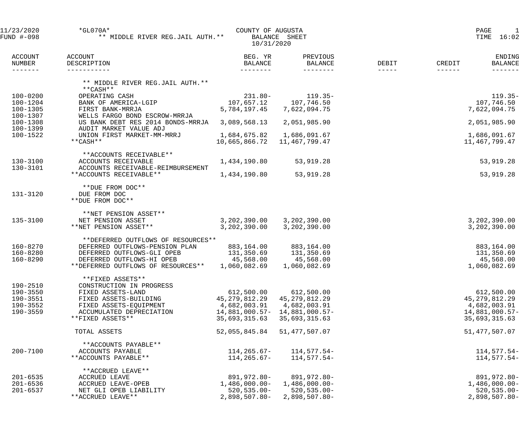| 11/23/2020<br>FUND #-098            | $*GLO70A*$<br>** MIDDLE RIVER REG.JAIL AUTH. **             | COUNTY OF AUGUSTA<br>10/31/2020 | BALANCE SHEET              |                      | 1<br>PAGE<br>16:02<br>TIME         |  |  |
|-------------------------------------|-------------------------------------------------------------|---------------------------------|----------------------------|----------------------|------------------------------------|--|--|
| <b>ACCOUNT</b><br>NUMBER<br>------- | ACCOUNT<br>DESCRIPTION                                      | BEG. YR<br><b>BALANCE</b>       | PREVIOUS<br><b>BALANCE</b> | DEBIT<br>$- - - - -$ | ENDING<br>CREDIT<br><b>BALANCE</b> |  |  |
|                                     | ** MIDDLE RIVER REG.JAIL AUTH. **<br>**CASH**               |                                 |                            |                      |                                    |  |  |
| $100 - 0200$                        | OPERATING CASH                                              | $231.80 -$                      | $119.35-$                  |                      | $119.35-$                          |  |  |
| $100 - 1204$                        | BANK OF AMERICA-LGIP                                        | 107,657.12                      | 107,746.50                 |                      | 107,746.50                         |  |  |
| 100-1305                            | FIRST BANK-MRRJA                                            | 5,784,197.45                    | 7,622,094.75               |                      | 7,622,094.75                       |  |  |
| 100-1307                            | WELLS FARGO BOND ESCROW-MRRJA                               |                                 |                            |                      |                                    |  |  |
| $100 - 1308$<br>100-1399            | US BANK DEBT RES 2014 BONDS-MRRJA<br>AUDIT MARKET VALUE ADJ | 3,089,568.13                    | 2,051,985.90               |                      | 2,051,985.90                       |  |  |
| 100-1522                            | UNION FIRST MARKET-MM-MRRJ                                  | 1,684,675.82                    | 1,686,091.67               |                      | 1,686,091.67                       |  |  |
|                                     | **CASH**                                                    | 10,665,866.72                   | 11,467,799.47              |                      | 11,467,799.47                      |  |  |
|                                     |                                                             |                                 |                            |                      |                                    |  |  |
|                                     | **ACCOUNTS RECEIVABLE**                                     |                                 |                            |                      |                                    |  |  |
| 130-3100                            | ACCOUNTS RECEIVABLE                                         | 1,434,190.80                    | 53,919.28                  |                      | 53,919.28                          |  |  |
| 130-3101                            | ACCOUNTS RECEIVABLE-REIMBURSEMENT                           |                                 |                            |                      |                                    |  |  |
|                                     | **ACCOUNTS RECEIVABLE**                                     | 1,434,190.80                    | 53,919.28                  |                      | 53,919.28                          |  |  |
| 131-3120                            | **DUE FROM DOC**<br>DUE FROM DOC<br>**DUE FROM DOC**        |                                 |                            |                      |                                    |  |  |
|                                     |                                                             |                                 |                            |                      |                                    |  |  |
| 135-3100                            | **NET PENSION ASSET**<br>NET PENSION ASSET                  | 3,202,390.00                    | 3,202,390.00               |                      | 3,202,390.00                       |  |  |
|                                     | **NET PENSION ASSET**                                       | 3,202,390.00                    | 3,202,390.00               |                      | 3,202,390.00                       |  |  |
|                                     |                                                             |                                 |                            |                      |                                    |  |  |
|                                     | **DEFERRED OUTFLOWS OF RESOURCES**                          |                                 |                            |                      |                                    |  |  |
| 160-8270                            | DEFERRED OUTFLOWS-PENSION PLAN                              | 883,164.00                      | 883,164.00                 |                      | 883,164.00                         |  |  |
| 160-8280                            | DEFERRED OUTFLOWS-GLI OPEB                                  | 131,350.69                      | 131,350.69                 |                      | 131,350.69                         |  |  |
| 160-8290                            | DEFERRED OUTFLOWS-HI OPEB                                   | 45,568.00                       | 45,568.00                  |                      | 45,568.00                          |  |  |
|                                     | **DEFERRED OUTFLOWS OF RESOURCES**                          | 1,060,082.69                    | 1,060,082.69               |                      | 1,060,082.69                       |  |  |
|                                     | **FIXED ASSETS**                                            |                                 |                            |                      |                                    |  |  |
| 190-2510                            | CONSTRUCTION IN PROGRESS                                    |                                 |                            |                      |                                    |  |  |
| 190-3550                            | FIXED ASSETS-LAND                                           | 612,500.00                      | 612,500.00                 |                      | 612,500.00                         |  |  |
| 190-3551                            | FIXED ASSETS-BUILDING                                       | 45,279,812.29                   | 45, 279, 812. 29           |                      | 45,279,812.29                      |  |  |
| 190-3552                            | FIXED ASSETS-EQUIPMENT                                      | 4,682,003.91                    | 4,682,003.91               |                      | 4,682,003.91                       |  |  |
| 190-3559                            | ACCUMULATED DEPRECIATION                                    | 14,881,000.57-                  | 14,881,000.57-             |                      | 14,881,000.57-                     |  |  |
|                                     | **FIXED ASSETS**                                            | 35,693,315.63                   | 35,693,315.63              |                      | 35,693,315.63                      |  |  |
|                                     | TOTAL ASSETS                                                | 52,055,845.84                   | 51,477,507.07              |                      | 51,477,507.07                      |  |  |
|                                     | **ACCOUNTS PAYABLE**                                        |                                 |                            |                      |                                    |  |  |
| $200 - 7100$                        | ACCOUNTS PAYABLE                                            | 114,265.67-                     | 114,577.54-                |                      | 114,577.54-                        |  |  |
|                                     | **ACCOUNTS PAYABLE**                                        | 114,265.67-                     | $114,577.54-$              |                      | 114,577.54-                        |  |  |
|                                     |                                                             |                                 |                            |                      |                                    |  |  |
| $201 - 6535$                        | **ACCRUED LEAVE**<br>ACCRUED LEAVE                          | 891,972.80-                     | 891,972.80-                |                      | 891,972.80-                        |  |  |
| $201 - 6536$                        | ACCRUED LEAVE-OPEB                                          | 1,486,000.00-                   | $1,486,000.00-$            |                      | $1,486,000.00-$                    |  |  |
| $201 - 6537$                        | NET GLI OPEB LIABILITY                                      | $520, 535.00 -$                 | $520, 535.00 -$            |                      | $520, 535.00 -$                    |  |  |
|                                     | **ACCRUED LEAVE**                                           | $2,898,507.80-$                 | 2,898,507.80-              |                      | $2,898,507.80-$                    |  |  |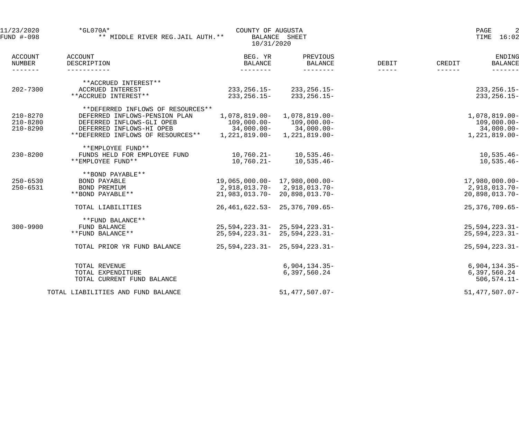| 11/23/2020<br>FUND #-098                    | $*$ GL070A*<br>** MIDDLE RIVER REG.JAIL AUTH. **  | COUNTY OF AUGUSTA<br>10/31/2020       | BALANCE SHEET                           |                        | 2<br>PAGE<br>TIME<br>16:02                            |
|---------------------------------------------|---------------------------------------------------|---------------------------------------|-----------------------------------------|------------------------|-------------------------------------------------------|
| <b>ACCOUNT</b><br>NUMBER<br>$- - - - - - -$ | ACCOUNT<br>DESCRIPTION<br>------------            | BEG. YR<br><b>BALANCE</b><br>-------- | PREVIOUS<br><b>BALANCE</b><br>--------- | DEBIT<br>$- - - - - -$ | ENDING<br>CREDIT<br><b>BALANCE</b><br>$- - - - - - -$ |
|                                             | **ACCRUED INTEREST**                              |                                       |                                         |                        |                                                       |
| $202 - 7300$                                | ACCRUED INTEREST<br>**ACCRUED INTEREST**          | 233,256.15-<br>$233, 256.15 -$        | $233, 256.15 -$<br>$233, 256.15 -$      |                        | $233, 256.15 -$<br>$233, 256.15 -$                    |
|                                             | **DEFERRED INFLOWS OF RESOURCES**                 |                                       |                                         |                        |                                                       |
| $210 - 8270$                                | DEFERRED INFLOWS-PENSION PLAN                     | 1,078,819.00-                         | $1,078,819.00-$                         |                        | $1,078,819.00 -$                                      |
| $210 - 8280$                                | DEFERRED INFLOWS-GLI OPEB                         | 109,000.00-                           | $109,000.00-$                           |                        | $109,000.00 -$                                        |
| $210 - 8290$                                | DEFERRED INFLOWS-HI OPEB                          |                                       | $34,000.00 - 34,000.00 -$               |                        | $34,000.00 -$                                         |
|                                             | **DEFERRED INFLOWS OF RESOURCES**                 |                                       | $1, 221, 819.00 - 1, 221, 819.00 -$     |                        | $1,221,819.00-$                                       |
| $230 - 8200$                                | **EMPLOYEE FUND**<br>FUNDS HELD FOR EMPLOYEE FUND | 10,760.21-                            | 10,535.46-                              |                        | $10,535.46-$                                          |
|                                             | **EMPLOYEE FUND**                                 | $10,760.21 -$                         | 10,535.46-                              |                        | $10,535.46-$                                          |
|                                             | **BOND PAYABLE**                                  |                                       |                                         |                        |                                                       |
| $250 - 6530$                                | <b>BOND PAYABLE</b>                               | 19,065,000.00- 17,980,000.00-         |                                         |                        | $17,980,000.00-$                                      |
| $250 - 6531$                                | BOND PREMIUM                                      |                                       | 2,918,013.70-2,918,013.70-              |                        | 2,918,013.70-                                         |
|                                             | **BOND PAYABLE**                                  |                                       | 21,983,013.70-20,898,013.70-            |                        | 20,898,013.70-                                        |
|                                             | TOTAL LIABILITIES                                 |                                       | 26, 461, 622. 53 - 25, 376, 709. 65 -   |                        | 25, 376, 709.65-                                      |
|                                             | **FUND BALANCE**                                  |                                       |                                         |                        |                                                       |
| $300 - 9900$                                | FUND BALANCE                                      |                                       | $25,594,223.31 - 25,594,223.31 -$       |                        | $25,594,223.31-$                                      |
|                                             | **FUND BALANCE**                                  |                                       | $25,594,223.31 - 25,594,223.31 -$       |                        | $25,594,223.31-$                                      |
|                                             | TOTAL PRIOR YR FUND BALANCE                       |                                       | $25,594,223.31 - 25,594,223.31 -$       |                        | $25,594,223.31-$                                      |
|                                             | TOTAL REVENUE                                     |                                       | $6,904,134.35-$                         |                        | $6,904,134.35-$                                       |
|                                             | TOTAL EXPENDITURE                                 |                                       | 6,397,560.24                            |                        | 6,397,560.24                                          |
|                                             | TOTAL CURRENT FUND BALANCE                        |                                       |                                         |                        | $506, 574.11 -$                                       |
|                                             | TOTAL LIABILITIES AND FUND BALANCE                |                                       | $51,477,507.07-$                        |                        | $51,477,507.07 -$                                     |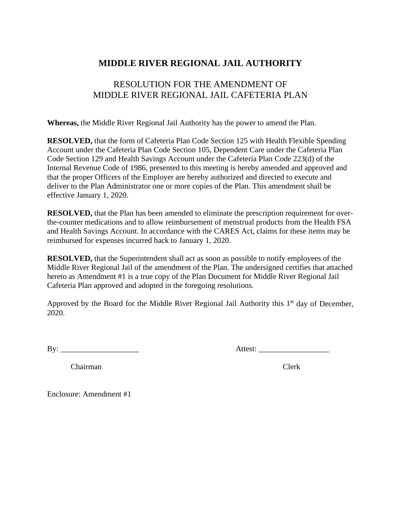### **MIDDLE RIVER REGIONAL JAIL AUTHORITY**

### RESOLUTION FOR THE AMENDMENT OF MIDDLE RIVER REGIONAL JAIL CAFETERIA PLAN

**Whereas,** the Middle River Regional Jail Authority has the power to amend the Plan.

**RESOLVED,** that the form of Cafeteria Plan Code Section 125 with Health Flexible Spending Account under the Cafeteria Plan Code Section 105, Dependent Care under the Cafeteria Plan Code Section 129 and Health Savings Account under the Cafeteria Plan Code 223(d) of the Internal Revenue Code of 1986, presented to this meeting is hereby amended and approved and that the proper Officers of the Employer are hereby authorized and directed to execute and deliver to the Plan Administrator one or more copies of the Plan. This amendment shall be effective January 1, 2020.

**RESOLVED,** that the Plan has been amended to eliminate the prescription requirement for overthe-counter medications and to allow reimbursement of menstrual products from the Health FSA and Health Savings Account. In accordance with the CARES Act, claims for these items may be reimbursed for expenses incurred back to January 1, 2020.

**RESOLVED,** that the Superintendent shall act as soon as possible to notify employees of the Middle River Regional Jail of the amendment of the Plan. The undersigned certifies that attached hereto as Amendment #1 is a true copy of the Plan Document for Middle River Regional Jail Cafeteria Plan approved and adopted in the foregoing resolutions.

Approved by the Board for the Middle River Regional Jail Authority this  $1<sup>st</sup>$  day of December, 2020.

By: \_\_\_\_\_\_\_\_\_\_\_\_\_\_\_\_\_\_\_\_ Attest: \_\_\_\_\_\_\_\_\_\_\_\_\_\_\_\_\_\_

Chairman Clerk

Enclosure: Amendment #1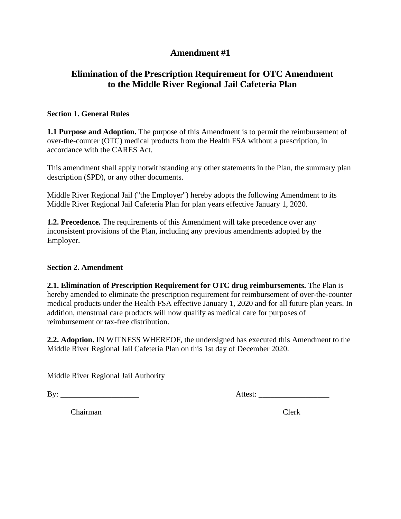### **Amendment #1**

### **Elimination of the Prescription Requirement for OTC Amendment to the Middle River Regional Jail Cafeteria Plan**

### **Section 1. General Rules**

**1.1 Purpose and Adoption.** The purpose of this Amendment is to permit the reimbursement of over-the-counter (OTC) medical products from the Health FSA without a prescription, in accordance with the CARES Act.

This amendment shall apply notwithstanding any other statements in the Plan, the summary plan description (SPD), or any other documents.

Middle River Regional Jail ("the Employer") hereby adopts the following Amendment to its Middle River Regional Jail Cafeteria Plan for plan years effective January 1, 2020.

**1.2. Precedence.** The requirements of this Amendment will take precedence over any inconsistent provisions of the Plan, including any previous amendments adopted by the Employer.

### **Section 2. Amendment**

**2.1. Elimination of Prescription Requirement for OTC drug reimbursements.** The Plan is hereby amended to eliminate the prescription requirement for reimbursement of over-the-counter medical products under the Health FSA effective January 1, 2020 and for all future plan years. In addition, menstrual care products will now qualify as medical care for purposes of reimbursement or tax-free distribution.

**2.2. Adoption.** IN WITNESS WHEREOF, the undersigned has executed this Amendment to the Middle River Regional Jail Cafeteria Plan on this 1st day of December 2020.

Middle River Regional Jail Authority

By: \_\_\_\_\_\_\_\_\_\_\_\_\_\_\_\_\_\_\_\_ Attest: \_\_\_\_\_\_\_\_\_\_\_\_\_\_\_\_\_\_

Chairman Clerk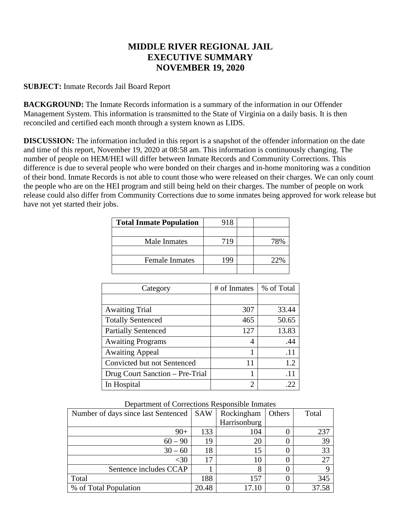### **MIDDLE RIVER REGIONAL JAIL EXECUTIVE SUMMARY NOVEMBER 19, 2020**

### **SUBJECT:** Inmate Records Jail Board Report

**BACKGROUND:** The Inmate Records information is a summary of the information in our Offender Management System. This information is transmitted to the State of Virginia on a daily basis. It is then reconciled and certified each month through a system known as LIDS.

**DISCUSSION:** The information included in this report is a snapshot of the offender information on the date and time of this report, November 19, 2020 at 08:58 am. This information is continuously changing. The number of people on HEM/HEI will differ between Inmate Records and Community Corrections. This difference is due to several people who were bonded on their charges and in-home monitoring was a condition of their bond. Inmate Records is not able to count those who were released on their charges. We can only count the people who are on the HEI program and still being held on their charges. The number of people on work release could also differ from Community Corrections due to some inmates being approved for work release but have not yet started their jobs.

| <b>Total Inmate Population</b> | 918 |                    |
|--------------------------------|-----|--------------------|
|                                |     |                    |
| Male Inmates                   | 719 |                    |
|                                |     |                    |
| <b>Female Inmates</b>          | -99 | $\gamma$ ) $0\!_0$ |
|                                |     |                    |

| Category                        | # of Inmates                | % of Total      |
|---------------------------------|-----------------------------|-----------------|
|                                 |                             |                 |
| <b>Awaiting Trial</b>           | 307                         | 33.44           |
| <b>Totally Sentenced</b>        | 465                         | 50.65           |
| <b>Partially Sentenced</b>      | 127                         | 13.83           |
| <b>Awaiting Programs</b>        | 4                           | .44             |
| <b>Awaiting Appeal</b>          |                             | .11             |
| Convicted but not Sentenced     | 11                          | 1.2             |
| Drug Court Sanction – Pre-Trial |                             | $\overline{11}$ |
| In Hospital                     | $\mathcal{D}_{\mathcal{L}}$ |                 |

Department of Corrections Responsible Inmates

| Number of days since last Sentenced | <b>SAW</b> | Rockingham   | Others | Total |
|-------------------------------------|------------|--------------|--------|-------|
|                                     |            | Harrisonburg |        |       |
| $90+$                               | 133        | 104          |        | 237   |
| $60 - 90$                           | 19         | 20           |        | 39    |
| $30 - 60$                           | 18         | 15           |        | 33    |
| <30                                 | 17         | 10           |        | 27    |
| Sentence includes CCAP              |            | 8            |        |       |
| Total                               | 188        | 157          |        | 345   |
| % of Total Population               | 20.48      | 17.10        |        | 37.58 |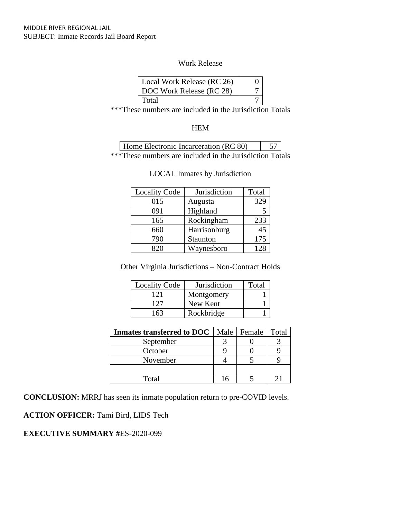### Work Release

| Local Work Release (RC 26) |  |
|----------------------------|--|
| DOC Work Release (RC 28)   |  |
| Total                      |  |

\*\*\*These numbers are included in the Jurisdiction Totals

### **HEM**

| Home Electronic Incarceration (RC 80)                    | 57 |  |
|----------------------------------------------------------|----|--|
| ***These numbers are included in the Jurisdiction Totals |    |  |

| <b>Locality Code</b> | Jurisdiction | Total |
|----------------------|--------------|-------|
| 015                  | Augusta      | 329   |
| 091                  | Highland     |       |
| 165                  | Rockingham   | 233   |
| 660                  | Harrisonburg | 45    |
| 790                  | Staunton     | 175   |
| 820                  | Waynesboro   | 128   |

#### LOCAL Inmates by Jurisdiction

Other Virginia Jurisdictions – Non-Contract Holds

| <b>Locality Code</b> | <b>Jurisdiction</b> | Total |
|----------------------|---------------------|-------|
| 121                  | Montgomery          |       |
| 127                  | New Kent            |       |
| 163                  | Rockbridge          |       |

| <b>Inmates transferred to DOC</b> | Male   Female | Total |
|-----------------------------------|---------------|-------|
| September                         |               |       |
| October                           |               |       |
| November                          |               |       |
|                                   |               |       |
| $\rm Total$                       |               |       |

**CONCLUSION:** MRRJ has seen its inmate population return to pre-COVID levels.

**ACTION OFFICER:** Tami Bird, LIDS Tech

### **EXECUTIVE SUMMARY #**ES-2020-099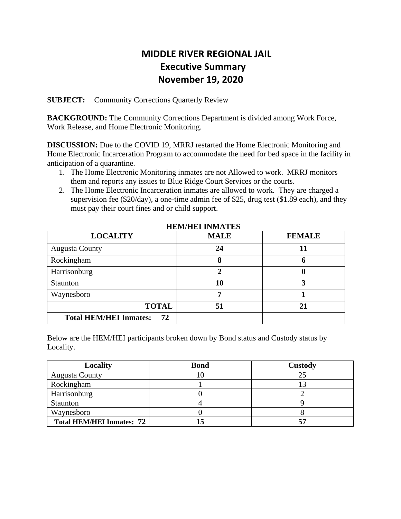### **MIDDLE RIVER REGIONAL JAIL Executive Summary November 19, 2020**

**SUBJECT:** Community Corrections Quarterly Review

**BACKGROUND:** The Community Corrections Department is divided among Work Force, Work Release, and Home Electronic Monitoring.

**DISCUSSION:** Due to the COVID 19, MRRJ restarted the Home Electronic Monitoring and Home Electronic Incarceration Program to accommodate the need for bed space in the facility in anticipation of a quarantine.

- 1. The Home Electronic Monitoring inmates are not Allowed to work. MRRJ monitors them and reports any issues to Blue Ridge Court Services or the courts.
- 2. The Home Electronic Incarceration inmates are allowed to work. They are charged a supervision fee (\$20/day), a one-time admin fee of \$25, drug test (\$1.89 each), and they must pay their court fines and or child support.

| <b>LOCALITY</b>                     | <b>MALE</b> | <b>FEMALE</b> |
|-------------------------------------|-------------|---------------|
| <b>Augusta County</b>               | 24          | 11            |
| Rockingham                          | 8           | O             |
| Harrisonburg                        |             | O             |
| Staunton                            | 10          |               |
| Waynesboro                          |             |               |
| <b>TOTAL</b>                        | 51          | 21            |
| <b>Total HEM/HEI Inmates:</b><br>72 |             |               |

 **HEM/HEI INMATES**

Below are the HEM/HEI participants broken down by Bond status and Custody status by Locality.

| Locality                         | <b>Bond</b> | Custody |
|----------------------------------|-------------|---------|
| <b>Augusta County</b>            |             | 25      |
| Rockingham                       |             |         |
| Harrisonburg                     |             |         |
| Staunton                         |             |         |
| Waynesboro                       |             |         |
| <b>Total HEM/HEI Inmates: 72</b> |             |         |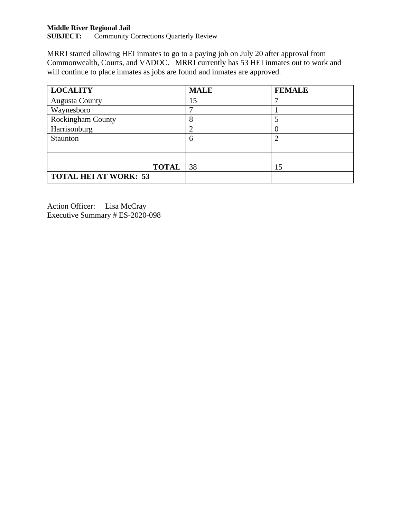## **Middle River Regional Jail<br>SUBJECT:** Community O

Community Corrections Quarterly Review

MRRJ started allowing HEI inmates to go to a paying job on July 20 after approval from Commonwealth, Courts, and VADOC. MRRJ currently has 53 HEI inmates out to work and will continue to place inmates as jobs are found and inmates are approved.

| <b>LOCALITY</b>              | <b>MALE</b> | <b>FEMALE</b> |
|------------------------------|-------------|---------------|
| <b>Augusta County</b>        | 15          |               |
| Waynesboro                   |             |               |
| <b>Rockingham County</b>     | 8           |               |
| Harrisonburg                 |             |               |
| Staunton                     | 6           |               |
|                              |             |               |
|                              |             |               |
| <b>TOTAL</b>                 | 38          | 15            |
| <b>TOTAL HEI AT WORK: 53</b> |             |               |

Action Officer: Lisa McCray Executive Summary # ES-2020-098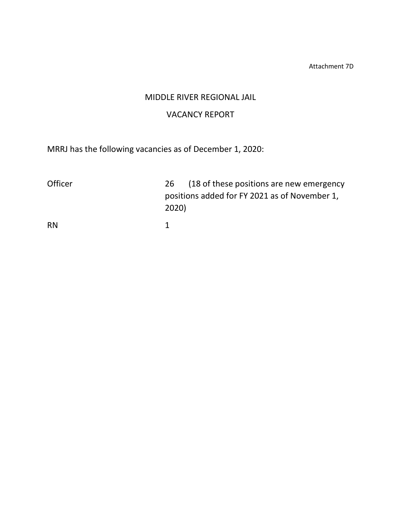Attachment 7D

### MIDDLE RIVER REGIONAL JAIL

### VACANCY REPORT

MRRJ has the following vacancies as of December 1, 2020:

| <b>Officer</b> | (18 of these positions are new emergency<br>26 |
|----------------|------------------------------------------------|
|                | positions added for FY 2021 as of November 1,  |
|                | 2020)                                          |
| RN             |                                                |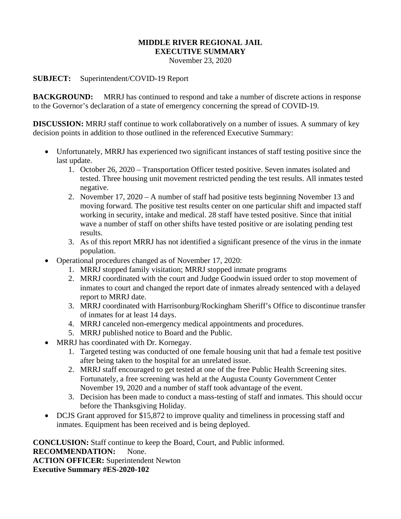### **MIDDLE RIVER REGIONAL JAIL**

**EXECUTIVE SUMMARY**

November 23, 2020

### **SUBJECT:** Superintendent/COVID-19 Report

**BACKGROUND:** MRRJ has continued to respond and take a number of discrete actions in response to the Governor's declaration of a state of emergency concerning the spread of COVID-19.

**DISCUSSION:** MRRJ staff continue to work collaboratively on a number of issues. A summary of key decision points in addition to those outlined in the referenced Executive Summary:

- Unfortunately, MRRJ has experienced two significant instances of staff testing positive since the last update.
	- 1. October 26, 2020 Transportation Officer tested positive. Seven inmates isolated and tested. Three housing unit movement restricted pending the test results. All inmates tested negative.
	- 2. November 17, 2020 A number of staff had positive tests beginning November 13 and moving forward. The positive test results center on one particular shift and impacted staff working in security, intake and medical. 28 staff have tested positive. Since that initial wave a number of staff on other shifts have tested positive or are isolating pending test results.
	- 3. As of this report MRRJ has not identified a significant presence of the virus in the inmate population.
- Operational procedures changed as of November 17, 2020:
	- 1. MRRJ stopped family visitation; MRRJ stopped inmate programs
	- 2. MRRJ coordinated with the court and Judge Goodwin issued order to stop movement of inmates to court and changed the report date of inmates already sentenced with a delayed report to MRRJ date.
	- 3. MRRJ coordinated with Harrisonburg/Rockingham Sheriff's Office to discontinue transfer of inmates for at least 14 days.
	- 4. MRRJ canceled non-emergency medical appointments and procedures.
	- 5. MRRJ published notice to Board and the Public.
- MRRJ has coordinated with Dr. Kornegay.
	- 1. Targeted testing was conducted of one female housing unit that had a female test positive after being taken to the hospital for an unrelated issue.
	- 2. MRRJ staff encouraged to get tested at one of the free Public Health Screening sites. Fortunately, a free screening was held at the Augusta County Government Center November 19, 2020 and a number of staff took advantage of the event.
	- 3. Decision has been made to conduct a mass-testing of staff and inmates. This should occur before the Thanksgiving Holiday.
- DCJS Grant approved for \$15,872 to improve quality and timeliness in processing staff and inmates. Equipment has been received and is being deployed.

**CONCLUSION:** Staff continue to keep the Board, Court, and Public informed. **RECOMMENDATION:** None. **ACTION OFFICER:** Superintendent Newton **Executive Summary #ES-2020-102**